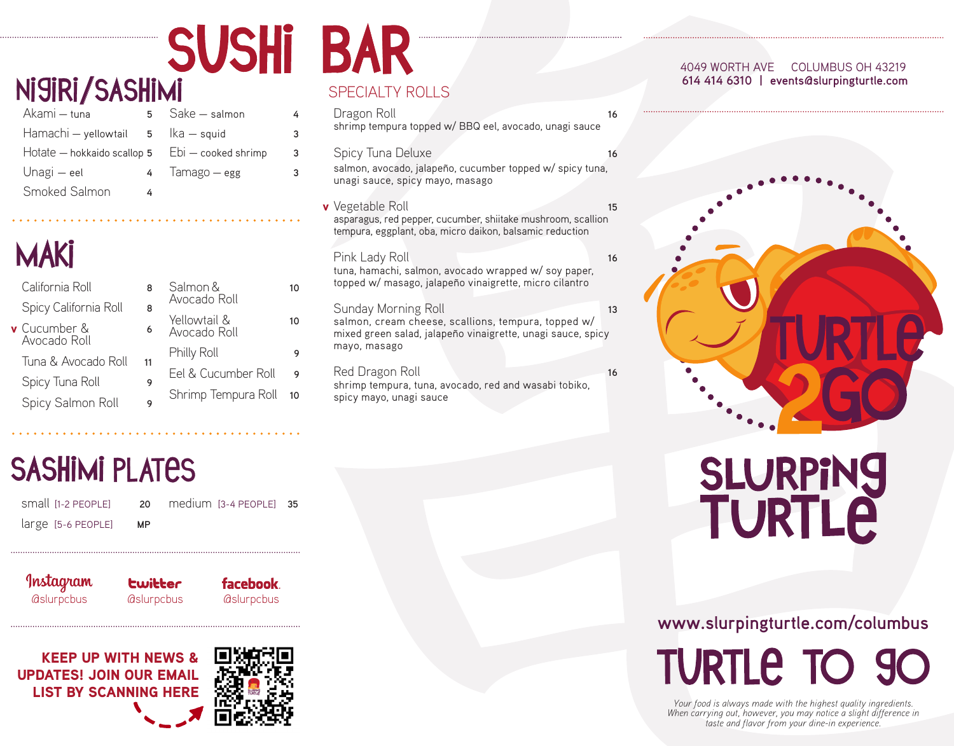# Ni9iRi/SASHIMI

| Akami – tuna                                               | 5. | Sake - salmon | 4 |
|------------------------------------------------------------|----|---------------|---|
| Hamachi - yellowtail 5 lka - squid                         |    |               | 3 |
| Hotate $-$ hokkaido scallop 5 $Ebi - \text{cooked shrink}$ |    |               | 3 |
| Unagi – eel                                                | 4  | Tamago — egg  | 3 |
| Smoked Salmon                                              | 4  |               |   |

## **MAKİ**

| California Roll                     | R |
|-------------------------------------|---|
| Spicy California Roll               | 8 |
| <b>v</b> Cucumber &<br>Avocado Roll | 6 |

- Avocado Roll Tuna & Avocado Roll **11**
- Spicy Tuna Roll **9**
- Spicy Salmon Roll **9**

#### Salmon & **10** Avocado Roll Yellowtail & **10** Avocado Roll Philly Roll **9** Eel & Cucumber Roll **9** Shrimp Tempura Roll **10**

### **SUSHI BAR** SPECIALTY ROLLS

| Dragon Roll<br>shrimp tempura topped w/ BBQ eel, avocado, unagi sauce                                                                                     | 16 |  |
|-----------------------------------------------------------------------------------------------------------------------------------------------------------|----|--|
| Spicy Tuna Deluxe<br>salmon, avocado, jalapeño, cucumber topped w/spicy tuna,<br>unagi sauce, spicy mayo, masago                                          | 16 |  |
| v Vegetable Roll<br>asparagus, red pepper, cucumber, shiitake mushroom, scallion<br>tempura, eggplant, oba, micro daikon, balsamic reduction              | 15 |  |
| Pink Lady Roll<br>tuna, hamachi, salmon, avocado wrapped w/ soy paper,<br>topped w/ masago, jalapeño vinaigrette, micro cilantro                          | 16 |  |
| Sunday Morning Roll<br>salmon, cream cheese, scallions, tempura, topped w/<br>mixed green salad, jalapeño vinaigrette, unagi sauce, spicy<br>mayo, masago | 13 |  |
| Red Dragon Roll                                                                                                                                           | 16 |  |

shrimp tempura, tuna, avocado, red and wasabi tobiko, spicy mayo, unagi sauce

#### 4049 WORTH AVE COLUMBUS OH 43219  **614 414 6310 | events@slurpingturtle.com**



# **SLURPING**<br>TURTLE

## **www.slurpingturtle.com/columbus TURTLE TO 90**

*Your food is always made with the highest quality ingredients. When carrying out, however, you may notice a slight difference in taste and flavor from your dine-in experience.*

## **SASHIMI PLATES**

| small [1-2 PEOPLE] |           | 20 medium [3-4 PEOPLE] 35 |  |
|--------------------|-----------|---------------------------|--|
| large [5-6 PEOPLE] | <b>MP</b> |                           |  |

Instagram @slurpcbus @slurpcbus @slurpcbus

facebook

KEEP UP WITH NEWS & UPDATES! JOIN OUR EMAIL LIST BY SCANNING HERE

**Lwitter**